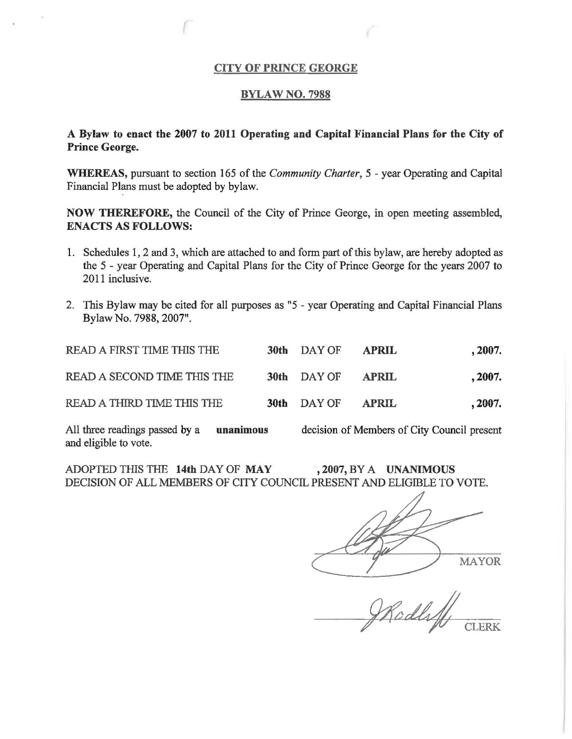#### CITY OF PRINCE GEORGE

#### BYLAW NO. 7988

## A Bylaw to enact the 2007 to 2011 Operating and Capital Financial Plans for the City of Prince George.

WHEREAS, pursuant to section 165 of the *Community Charter, 5* - year Operating and Capital Financial Plans must be adopted by bylaw.

NOW THEREFORE, the Council of the City of Prince George, in open meeting assembled, ENACTS AS FOLLOWS:

- 1. Schedules 1, 2 and 3, which are attached to and form part of this bylaw, are hereby adopted as the *5* - year Operating and Capital Plans for the City of Prince George for the years 2007 to 2011 inclusive.
- 2. This Bylaw may be cited for all purposes as "5 year Operating and Capital Financial Plans Bylaw No. 7988, 2007".

| READ A FIRST TIME THIS THE                                                                                                                                                                                                                                                | 30th DAY OF | <b>APRIL</b> | , 2007. |
|---------------------------------------------------------------------------------------------------------------------------------------------------------------------------------------------------------------------------------------------------------------------------|-------------|--------------|---------|
| READ A SECOND TIME THIS THE                                                                                                                                                                                                                                               | 30th DAY OF | <b>APRIL</b> | , 2007. |
| READ A THIRD TIME THIS THE                                                                                                                                                                                                                                                | 30th DAY OF | <b>APRIL</b> | , 2007. |
| $\mathbf{A}$ if $\mathbf{A}$ is a set of $\mathbf{A}$ is a set of $\mathbf{A}$ is a set of $\mathbf{A}$ is a set of $\mathbf{A}$ is a set of $\mathbf{A}$ is a set of $\mathbf{A}$ is a set of $\mathbf{A}$ is a set of $\mathbf{A}$ is a set of $\mathbf{A}$ is a set of |             |              |         |

All three readings passed by a unanimous decision of Members of City Council present and eligible to vote.

ADOPTED THIS THE 14th DAY OF MAY , 2007, BY A UNANIMOUS DECISION OF ALL MEMBERS OF CITY COUNCIL PRESENT AND ELIGIBLE TO VOTE.

MAYOR

Rodly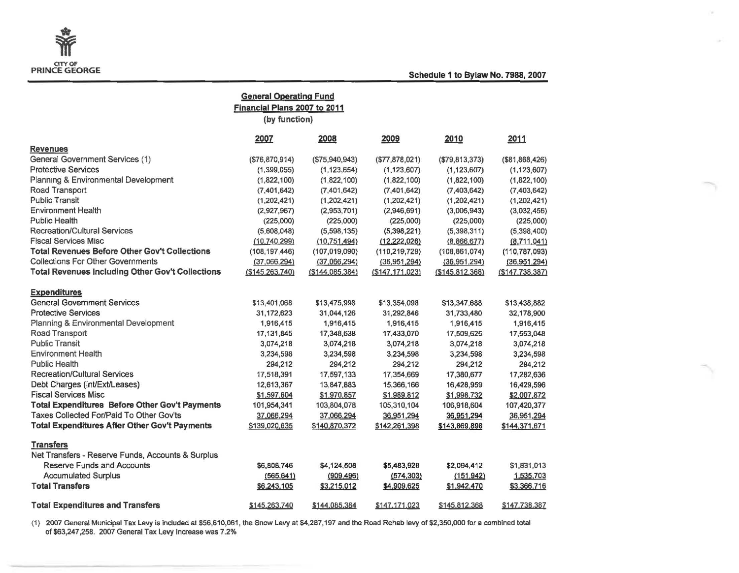

×

s.

| <b>General Operating Fund</b>                           |                 |                 |                 |                  |                 |  |  |  |  |
|---------------------------------------------------------|-----------------|-----------------|-----------------|------------------|-----------------|--|--|--|--|
| Financial Plans 2007 to 2011                            |                 |                 |                 |                  |                 |  |  |  |  |
|                                                         | (by function)   |                 |                 |                  |                 |  |  |  |  |
|                                                         | 2007            | 2008            | 2009            | 2010             | 2011            |  |  |  |  |
| <b>Revenues</b>                                         |                 |                 |                 |                  |                 |  |  |  |  |
| General Government Services (1)                         | (S76, 870, 914) | (\$75,940,943)  | (\$77,878,021)  | (\$79,813,373)   | (\$81,868,426)  |  |  |  |  |
| <b>Protective Services</b>                              | (1,399,055)     | (1, 123, 654)   | (1, 123, 607)   | (1, 123, 607)    | (1, 123, 607)   |  |  |  |  |
| Planning & Environmental Development                    | (1,822,100)     | (1,822,100)     | (1,822,100)     | (1,822,100)      | (1,822,100)     |  |  |  |  |
| Road Transport                                          | (7, 401, 642)   | (7, 401, 642)   | (7,401,642)     | (7,403,642)      | (7,403,642)     |  |  |  |  |
| <b>Public Transit</b>                                   | (1,202,421)     | (1,202,421)     | (1,202,421)     | (1,202,421)      | (1,202,421)     |  |  |  |  |
| <b>Environment Health</b>                               | (2,927,967)     | (2,953,701)     | (2,946,691)     | (3,005,943)      | (3,032,456)     |  |  |  |  |
| Public Health                                           | (225,000)       | (225,000)       | (225,000)       | (225,000)        | (225,000)       |  |  |  |  |
| <b>Recreation/Cultural Services</b>                     | (5,608,048)     | (5,598,135)     | (5,398,221)     | (5,398,311)      | (5,398,400)     |  |  |  |  |
| <b>Fiscal Services Misc</b>                             | (10.740, 299)   | (10, 751, 494)  | (12, 222, 026)  | (8,866,677)      | (8,711,041)     |  |  |  |  |
| <b>Total Revenues Before Other Gov't Collections</b>    | (108, 197, 446) | (107, 019, 090) | (110, 219, 729) | (108, 861, 074)  | (110, 787, 093) |  |  |  |  |
| <b>Collections For Other Governments</b>                | (37,066,294)    | (37,066,294)    | (36,951,294)    | (36,951,294)     | (36,951,294)    |  |  |  |  |
| <b>Total Revenues Including Other Gov't Collections</b> | (S145.263.740)  | (\$144,085,384) | (S147.171.023)  | ( \$145.812.368) | (S147.738.387)  |  |  |  |  |
| <b>Expenditures</b>                                     |                 |                 |                 |                  |                 |  |  |  |  |
| <b>General Government Services</b>                      | \$13,401,068    | \$13,475,998    | \$13,354,098    | \$13,347,688     | \$13,438,882    |  |  |  |  |
| <b>Protective Services</b>                              | 31,172,623      | 31,044,126      | 31,292,846      | 31,733,480       | 32,178,900      |  |  |  |  |
| Planning & Environmental Development                    | 1,916,415       | 1,916,415       | 1,916,415       | 1,916,415        | 1,916,415       |  |  |  |  |
| Road Transport                                          | 17, 131, 845    | 17,348,638      | 17,433,070      | 17,509,625       | 17,563,048      |  |  |  |  |
| <b>Public Transit</b>                                   | 3,074,218       | 3,074,218       | 3,074,218       | 3,074,218        | 3,074,218       |  |  |  |  |
| <b>Environment Health</b>                               | 3,234,598       | 3,234,598       | 3,234,598       | 3,234,598        | 3,234,598       |  |  |  |  |
| <b>Public Health</b>                                    | 294,212         | 294,212         | 294,212         | 294,212          | 294,212         |  |  |  |  |
| <b>Recreation/Cultural Services</b>                     | 17,518,391      | 17,597,133      | 17,354,669      | 17,380,677       | 17,282,636      |  |  |  |  |
| Debt Charges (Int/Ext/Leases)                           | 12,613,367      | 13,847,883      | 15,366,166      | 16,428,959       | 16,429,596      |  |  |  |  |
| <b>Fiscal Services Misc</b>                             | \$1,597,604     | \$1,970,857     | \$1,989,812     | \$1,998,732      | \$2,007,872     |  |  |  |  |
| <b>Total Expenditures Before Other Gov't Payments</b>   | 101,954,341     | 103,804,078     | 105,310,104     | 106,918,604      | 107,420,377     |  |  |  |  |
| Taxes Collected For/Paid To Other Gov'ts                | 37,066,294      | 37,066,294      | 36,951,294      | 36,951,294       | 36,951,294      |  |  |  |  |
| <b>Total Expenditures After Other Gov't Payments</b>    | \$139,020,635   | \$140,870,372   | \$142,261,398   | \$143,869.898    | \$144,371,671   |  |  |  |  |
| <b>Transfers</b>                                        |                 |                 |                 |                  |                 |  |  |  |  |
| Net Transfers - Reserve Funds, Accounts & Surplus       |                 |                 |                 |                  |                 |  |  |  |  |
| <b>Reserve Funds and Accounts</b>                       | \$6,808,746     | \$4,124,508     | \$5,483,928     | \$2,094,412      | \$1,831,013     |  |  |  |  |
| <b>Accumulated Surplus</b>                              | (565, 641)      | (909, 496)      | (574, 303)      | (151.942)        | 1,535,703       |  |  |  |  |
| <b>Total Transfers</b>                                  | \$6,243,105     | \$3,215,012     | \$4,909,625     | \$1,942,470      | \$3,366,716     |  |  |  |  |
| <b>Total Expenditures and Transfers</b>                 | \$145,263,740   | \$144,085,384   | \$147.171.023   | \$145,812,368    | \$147.738.387   |  |  |  |  |

(1) 2007 General Municipal Tax Levy is induded at \$56,610,061, the Snow Levy at \$4,287,197 and the Road Rehab levy of \$2,350,000 for a combined total of \$63,247,258. 2007 General Tax Levy Increase was 7.2%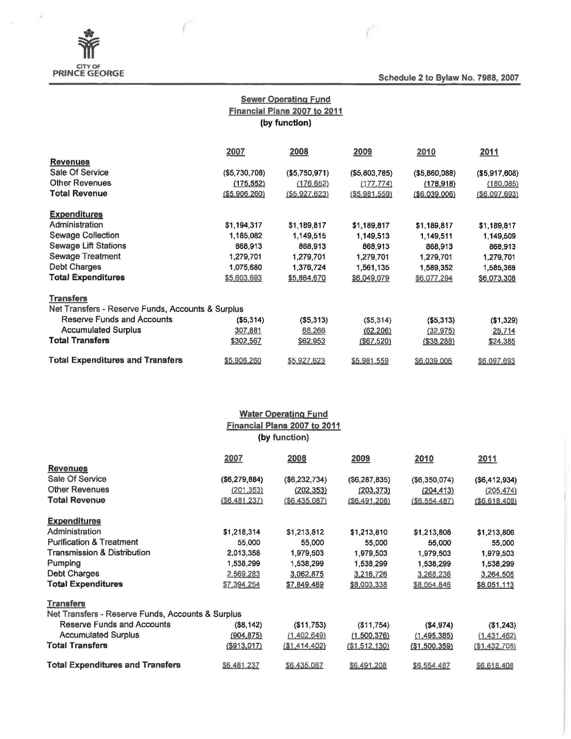

ä

Schedule 2 to Bylaw No. 7988, 2007

# Sewer Operating Fund Financial Plans 2007 to 2011 (by function)

|                                                   | 2007          | 2008           | 2009           | 2010           | 2011           |
|---------------------------------------------------|---------------|----------------|----------------|----------------|----------------|
| <b>Revenues</b>                                   |               |                |                |                |                |
| Sale Of Service                                   | (\$5,730,708) | (\$5,750,971)  | (\$5,803,785)  | ( \$5,860,088) | ( \$5,917,608) |
| <b>Other Revenues</b>                             | (175, 552)    | (176, 652)     | (177, 774)     | (178, 918)     | (180, 085)     |
| <b>Total Revenue</b>                              | (\$5.906.260) | ( \$5.927.623) | ( \$5.981.559) | ( \$6,039,006) | (S6.097.693)   |
| <b>Expenditures</b>                               |               |                |                |                |                |
| Administration                                    | \$1,194,317   | \$1,189,817    | \$1,189,817    | \$1,189,817    | \$1,189,817    |
| Sewage Collection                                 | 1,185,082     | 1,149,515      | 1,149,513      | 1,149,511      | 1,149,509      |
| <b>Sewage Lift Stations</b>                       | 868,913       | 868,913        | 868,913        | 868,913        | 868,913        |
| Sewage Treatment                                  | 1,279,701     | 1,279,701      | 1,279,701      | 1,279,701      | 1,279,701      |
| Debt Charges                                      | 1,075,680     | 1,376,724      | 1,561,135      | 1,589,352      | 1,585,368      |
| <b>Total Expenditures</b>                         | \$5,603,693   | \$5,864,670    | \$6,049,079    | \$6,077,294    | \$6,073,308    |
| <b>Transfers</b>                                  |               |                |                |                |                |
| Net Transfers - Reserve Funds, Accounts & Surplus |               |                |                |                |                |
| Reserve Funds and Accounts                        | (\$5,314)     | ( \$5,313)     | ( \$5,314)     | ( \$5,313)     | (\$1,329)      |
| <b>Accumulated Surplus</b>                        | 307,881       | 68,266         | (62, 206)      | (32, 975)      | 25,714         |
| <b>Total Transfers</b>                            | \$302,567     | \$62,953       | (\$67,520)     | ( \$38, 288)   | \$24,385       |
| <b>Total Expenditures and Transfers</b>           | \$5,906,260   | \$5,927,623    | \$5,981,559    | \$6,039,006    | \$6,097,693    |

|                                                   |                | <b>Water Operating Fund</b><br>Financial Plans 2007 to 2011 |                 |               |                |  |  |
|---------------------------------------------------|----------------|-------------------------------------------------------------|-----------------|---------------|----------------|--|--|
| (by function)                                     |                |                                                             |                 |               |                |  |  |
|                                                   | 2007           | 2008                                                        | 2009            | 2010          | 2011           |  |  |
| <b>Revenues</b>                                   |                |                                                             |                 |               |                |  |  |
| Sale Of Service                                   | (\$6,279,884)  | (\$6,232,734)                                               | (\$6, 287, 835) | (\$6,350,074) | ( \$6,412,934) |  |  |
| <b>Other Revenues</b>                             | (201, 353)     | (202, 353)                                                  | (203, 373)      | (204, 413)    | (205, 474)     |  |  |
| <b>Total Revenue</b>                              | (S6.481.237)   | (\$6,435,087)                                               | (\$6,491,208)   | (\$6.554.487) | (\$6.618.408)  |  |  |
| <b>Expenditures</b>                               |                |                                                             |                 |               |                |  |  |
| Administration                                    | \$1,218,314    | \$1,213,812                                                 | \$1,213,810     | \$1,213,808   | \$1,213,806    |  |  |
| <b>Purification &amp; Treatment</b>               | 55,000         | 55,000                                                      | 55.000          | 55.000        | 55,000         |  |  |
| <b>Transmission &amp; Distribution</b>            | 2,013,358      | 1,979,503                                                   | 1,979,503       | 1,979,503     | 1,979,503      |  |  |
| Pumping                                           | 1,538,299      | 1,538,299                                                   | 1,538,299       | 1,538,299     | 1,538,299      |  |  |
| Debt Charges                                      | 2,569,283      | 3,062,875                                                   | 3,216,726       | 3,268,236     | 3,264,505      |  |  |
| <b>Total Expenditures</b>                         | \$7,394,254    | \$7,849,489                                                 | \$8,003,338     | \$8,054,846   | \$8,051,113    |  |  |
| <b>Transfers</b>                                  |                |                                                             |                 |               |                |  |  |
| Net Transfers - Reserve Funds, Accounts & Surplus |                |                                                             |                 |               |                |  |  |
| Reserve Funds and Accounts                        | ( \$8, 142)    | (\$11,753)                                                  | ( \$11,754)     | ( \$4, 974)   | (\$1,243)      |  |  |
| <b>Accumulated Surplus</b>                        | (904, 875)     | (1,402,649)                                                 | (1,500,376)     | (1, 495, 385) | (1,431,462)    |  |  |
| <b>Total Transfers</b>                            | $($ \$913,017) | (\$1,414,402)                                               | (S1, 512, 130)  | (\$1,500,359) | (\$1,432,705)  |  |  |
| <b>Total Expenditures and Transfers</b>           | \$6,481.237    | \$6.435.087                                                 | \$6,491,208     | \$6,554.487   | \$6,618,408    |  |  |